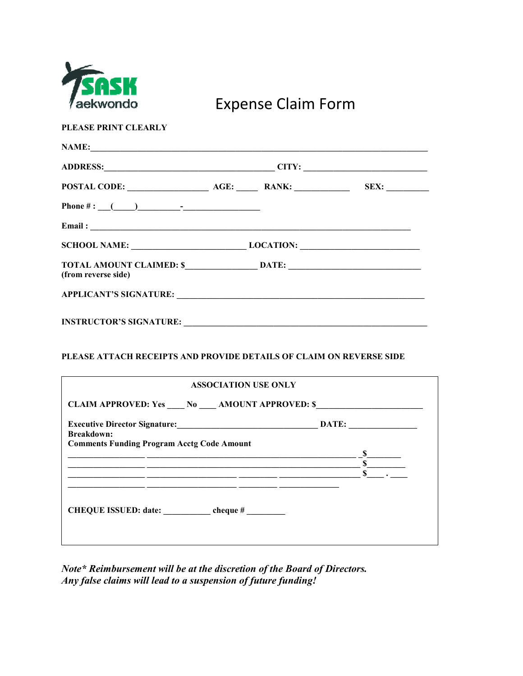

## Expense Claim Form

**PLEASE PRINT CLEARLY** 

|                                                                                   | ADDRESS: CITY: |  |                      |  |
|-----------------------------------------------------------------------------------|----------------|--|----------------------|--|
|                                                                                   |                |  | SEX: $\qquad \qquad$ |  |
|                                                                                   |                |  |                      |  |
|                                                                                   |                |  |                      |  |
| SCHOOL NAME: __________________________________LOCATION: ________________________ |                |  |                      |  |
| (from reverse side)                                                               |                |  |                      |  |
|                                                                                   |                |  |                      |  |
| <b>INSTRUCTOR'S SIGNATURE:</b>                                                    |                |  |                      |  |

## **PLEASE ATTACH RECEIPTS AND PROVIDE DETAILS OF CLAIM ON REVERSE SIDE**

| <b>ASSOCIATION USE ONLY</b>                                                                                                                                                |  |                               |  |  |
|----------------------------------------------------------------------------------------------------------------------------------------------------------------------------|--|-------------------------------|--|--|
| <b>CLAIM APPROVED: Yes No AMOUNT APPROVED: \$</b>                                                                                                                          |  |                               |  |  |
| <b>Breakdown:</b>                                                                                                                                                          |  |                               |  |  |
| <b>Comments Funding Program Acctg Code Amount</b><br><u> 1989 - Andrea Stadt Britain, amerikan berlandar beste beste beste beste beste beste beste beste beste beste b</u> |  | $\frac{\ }{1}$ $\frac{\ }{1}$ |  |  |
| <u> 1980 - Johann John Stone, markin basar basar basar basar basar basar basar basar basar basar basar basar basa</u>                                                      |  |                               |  |  |
|                                                                                                                                                                            |  |                               |  |  |
| CHEQUE ISSUED: date: _____________ cheque # ________                                                                                                                       |  |                               |  |  |
|                                                                                                                                                                            |  |                               |  |  |
|                                                                                                                                                                            |  |                               |  |  |

*Note\* Reimbursement will be at the discretion of the Board of Directors. Any false claims will lead to a suspension of future funding!*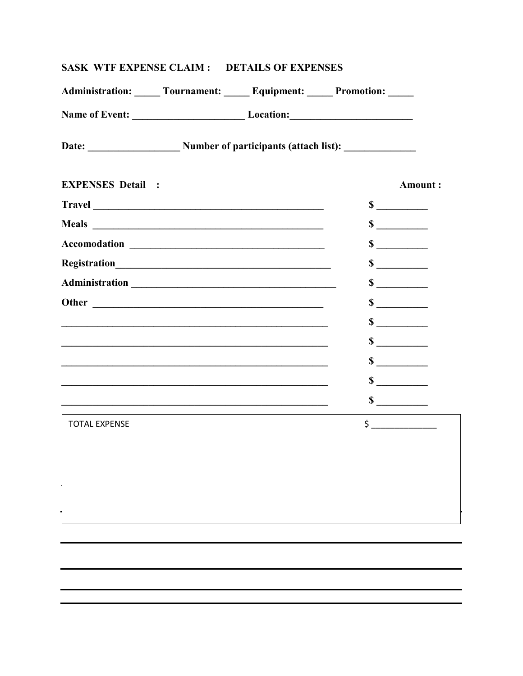| Administration: _____ Tournament: _____ Equipment: _____ Promotion: _____                                                                                                                                                            |                                                                                                                       |                             |               |
|--------------------------------------------------------------------------------------------------------------------------------------------------------------------------------------------------------------------------------------|-----------------------------------------------------------------------------------------------------------------------|-----------------------------|---------------|
|                                                                                                                                                                                                                                      |                                                                                                                       |                             |               |
| Date: Number of participants (attach list):                                                                                                                                                                                          |                                                                                                                       |                             |               |
| <b>EXPENSES Detail :</b>                                                                                                                                                                                                             |                                                                                                                       |                             | Amount:       |
|                                                                                                                                                                                                                                      |                                                                                                                       |                             |               |
|                                                                                                                                                                                                                                      |                                                                                                                       | $\sim$                      |               |
| Accomodation <b>contract of the contract of the contract of the contract of the contract of the contract of the contract of the contract of the contract of the contract of the contract of the contract of the contract of the </b> |                                                                                                                       | $\frac{\text{S}}{\text{S}}$ |               |
|                                                                                                                                                                                                                                      |                                                                                                                       | $\frac{\text{S}}{\text{S}}$ |               |
| Administration expansion and the contract of the contract of the contract of the contract of the contract of the contract of the contract of the contract of the contract of the contract of the contract of the contract of t       |                                                                                                                       | $\sim$                      |               |
|                                                                                                                                                                                                                                      |                                                                                                                       | $\sim$                      |               |
|                                                                                                                                                                                                                                      |                                                                                                                       | $\frac{\text{S}}{\text{S}}$ |               |
|                                                                                                                                                                                                                                      |                                                                                                                       | $\sim$                      |               |
|                                                                                                                                                                                                                                      | <u> 1989 - Johann Barn, amerikan berkema dan berkema dalam berkema dalam berkema dalam berkema dalam berkema dala</u> | $\frac{\sqrt{2}}{2}$        |               |
|                                                                                                                                                                                                                                      |                                                                                                                       | $\sim$                      |               |
| <u> 1989 - Johann Stoff, amerikansk politiker (d. 1989)</u>                                                                                                                                                                          |                                                                                                                       | $\frac{\text{S}}{\text{S}}$ |               |
| <b>TOTAL EXPENSE</b>                                                                                                                                                                                                                 |                                                                                                                       |                             | $\sim$ $\sim$ |
|                                                                                                                                                                                                                                      |                                                                                                                       |                             |               |
|                                                                                                                                                                                                                                      |                                                                                                                       |                             |               |
|                                                                                                                                                                                                                                      |                                                                                                                       |                             |               |
|                                                                                                                                                                                                                                      |                                                                                                                       |                             |               |
|                                                                                                                                                                                                                                      |                                                                                                                       |                             |               |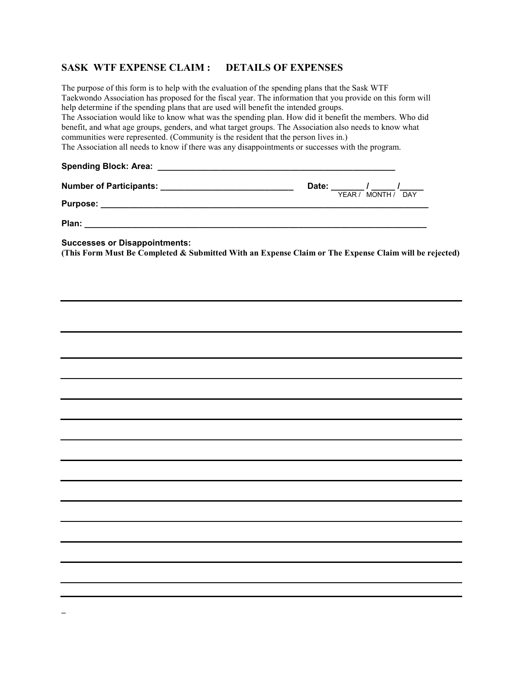## **SASK WTF EXPENSE CLAIM : DETAILS OF EXPENSES**

The purpose of this form is to help with the evaluation of the spending plans that the Sask WTF Taekwondo Association has proposed for the fiscal year. The information that you provide on this form will help determine if the spending plans that are used will benefit the intended groups. The Association would like to know what was the spending plan. How did it benefit the members. Who did benefit, and what age groups, genders, and what target groups. The Association also needs to know what communities were represented. (Community is the resident that the person lives in.) The Association all needs to know if there was any disappointments or successes with the program. Spending Block: Area: **With any Spending Block:** Area: **Number of Participants: \_\_\_\_\_\_\_\_\_\_\_\_\_\_\_\_\_\_\_\_\_\_\_\_\_\_\_\_\_\_\_\_\_\_\_ Date:** \_\_\_\_\_\_/ \_\_\_\_\_ /\_\_\_\_\_/ \_\_\_\_\_\_\_/<br>YEAR / MONTH / DAY **Purpose:**  $\blacksquare$ **Plan: \_\_\_\_\_\_\_\_\_\_\_\_\_\_\_\_\_\_\_\_\_\_\_\_\_\_\_\_\_\_\_\_\_\_\_\_\_\_\_\_\_\_\_\_\_\_\_\_\_\_\_\_\_\_\_\_\_\_\_\_\_\_\_\_\_\_\_\_\_\_\_\_ Successes or Disappointments: (This Form Must Be Completed & Submitted With an Expense Claim or The Expense Claim will be rejected)**